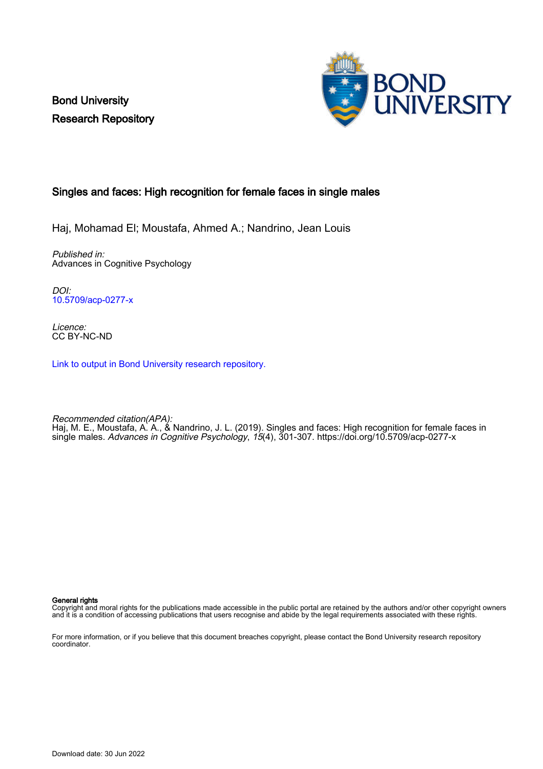Bond University Research Repository



## Singles and faces: High recognition for female faces in single males

Haj, Mohamad El; Moustafa, Ahmed A.; Nandrino, Jean Louis

Published in: Advances in Cognitive Psychology

DOI: [10.5709/acp-0277-x](https://doi.org/10.5709/acp-0277-x)

Licence: CC BY-NC-ND

[Link to output in Bond University research repository.](https://research.bond.edu.au/en/publications/94f7de74-dd46-4c32-a72a-7059e739ea70)

Recommended citation(APA): Haj, M. E., Moustafa, A. A., & Nandrino, J. L. (2019). Singles and faces: High recognition for female faces in single males. Advances in Cognitive Psychology, 15(4), 301-307. <https://doi.org/10.5709/acp-0277-x>

General rights

Copyright and moral rights for the publications made accessible in the public portal are retained by the authors and/or other copyright owners and it is a condition of accessing publications that users recognise and abide by the legal requirements associated with these rights.

For more information, or if you believe that this document breaches copyright, please contact the Bond University research repository coordinator.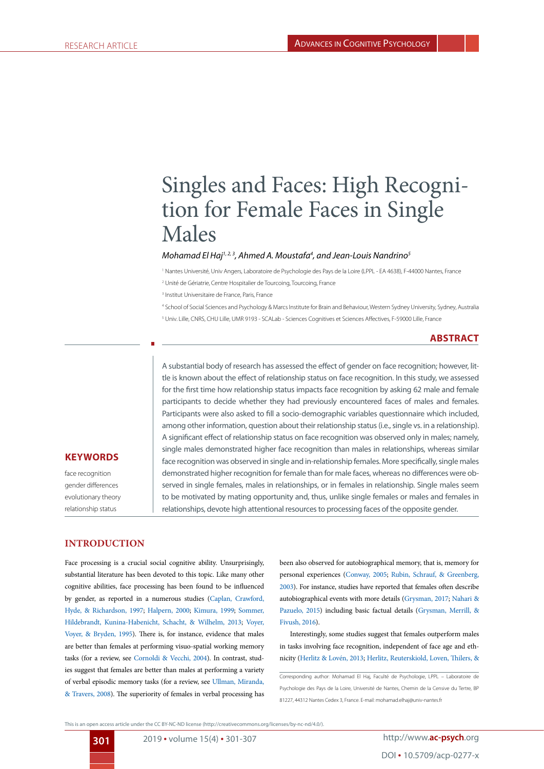# Singles and Faces: High Recognition for Female Faces in Single Males

#### Mohamad El Haj<sup>1,2,3</sup>, Ahmed A. Moustafa<sup>4</sup>, and Jean-Louis Nandrino<sup>5</sup>

<sup>1</sup> Nantes Université, Univ Angers, Laboratoire de Psychologie des Pays de la Loire (LPPL - EA 4638), F-44000 Nantes, France

2 Unité de Gériatrie, Centre Hospitalier de Tourcoing, Tourcoing, France

3 Institut Universitaire de France, Paris, France

4 School of Social Sciences and Psychology & Marcs Institute for Brain and Behaviour, Western Sydney University, Sydney, Australia 5 Univ. Lille, CNRS, CHU Lille, UMR 9193 - SCALab - Sciences Cognitives et Sciences Affectives, F-59000 Lille, France

## **ABSTRACT**

A substantial body of research has assessed the effect of gender on face recognition; however, little is known about the effect of relationship status on face recognition. In this study, we assessed for the first time how relationship status impacts face recognition by asking 62 male and female participants to decide whether they had previously encountered faces of males and females. Participants were also asked to fill a socio-demographic variables questionnaire which included, among other information, question about their relationship status (i.e., single vs. in a relationship). A significant effect of relationship status on face recognition was observed only in males; namely, single males demonstrated higher face recognition than males in relationships, whereas similar face recognition was observed in single and in-relationship females. More specifically, single males demonstrated higher recognition for female than for male faces, whereas no differences were observed in single females, males in relationships, or in females in relationship. Single males seem to be motivated by mating opportunity and, thus, unlike single females or males and females in relationships, devote high attentional resources to processing faces of the opposite gender.

#### **KEYWORDS**

face recognition gender differences evolutionary theory relationship status

## **INTRODUCTION**

Face processing is a crucial social cognitive ability. Unsurprisingly, substantial literature has been devoted to this topic. Like many other cognitive abilities, face processing has been found to be influenced by gender, as reported in a numerous studies ([Caplan, Crawford,](#page-5-0) [Hyde, & Richardson, 1997;](#page-5-0) [Halpern, 2000](#page-6-0); [Kimura, 1999](#page-6-1); [Sommer,](#page-7-0) [Hildebrandt, Kunina-Habenicht, Schacht, & Wilhelm, 2013](#page-7-0); [Voyer,](#page-7-1) [Voyer, & Bryden, 1995\)](#page-7-1). There is, for instance, evidence that males are better than females at performing visuo-spatial working memory tasks (for a review, see [Cornoldi & Vecchi, 2004\)](#page-5-1). In contrast, studies suggest that females are better than males at performing a variety of verbal episodic memory tasks (for a review, see [Ullman, Miranda,](#page-7-2) [& Travers, 2008\)](#page-7-2). The superiority of females in verbal processing has

been also observed for autobiographical memory, that is, memory for personal experiences [\(Conway, 2005](#page-5-2); [Rubin, Schrauf, & Greenberg,](#page-7-3) [2003](#page-7-3)). For instance, studies have reported that females often describe autobiographical events with more details ([Grysman, 2017;](#page-6-2) [Nahari &](#page-7-4) [Pazuelo, 2015](#page-7-4)) including basic factual details ([Grysman, Merrill, &](#page-6-3) [Fivush, 2016\)](#page-6-3).

Interestingly, some studies suggest that females outperform males in tasks involving face recognition, independent of face age and ethnicity [\(Herlitz & Lovén, 2013;](#page-6-4) [Herlitz, Reuterskiold, Loven, Thilers, &](#page-6-5)

Corresponding author: Mohamad El Haj, Faculté de Psychologie, LPPL – Laboratoire de Psychologie des Pays de la Loire, Université de Nantes, Chemin de la Censive du Tertre, BP 81227, 44312 Nantes Cedex 3, France. E-mail: mohamad.elhaj@univ-nantes.fr

This is an open access article under the CC BY-NC-ND license (http://creativecommons.org/licenses/by-nc-nd/4.0/).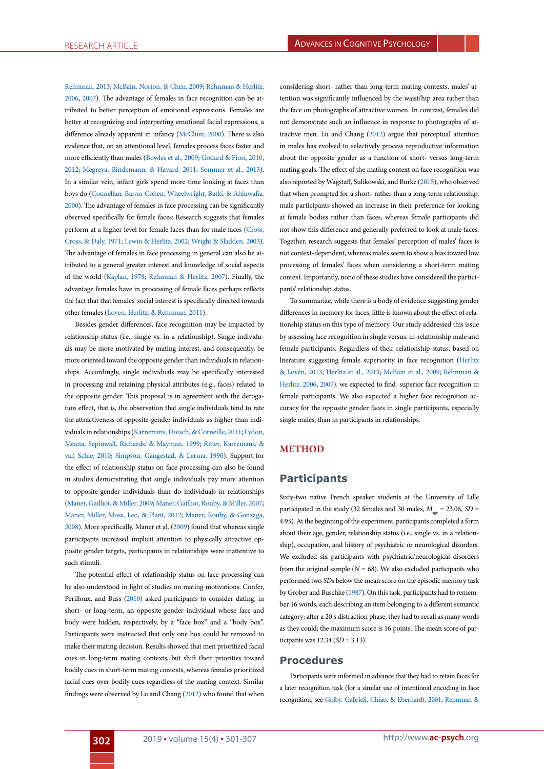[Rehnman, 2013](#page-6-5); [McBain, Norton, & Chen, 2009;](#page-7-5) [Rehnman & Herlitz,](#page-7-6) [2006,](#page-7-6) [2007](#page-7-7)). The advantage of females in face recognition can be attributed to better perception of emotional expressions. Females are better at recognizing and interpreting emotional facial expressions, a difference already apparent in infancy ([McClure, 2000\)](#page-7-8). There is also evidence that, on an attentional level, females process faces faster and more efficiently than males ([Bowles et al., 2009;](#page-5-3) [Godard & Fiori, 2010](#page-6-6), [2012;](#page-6-7) [Megreya, Bindemann, & Havard, 2011;](#page-7-9) [Sommer et al., 2013\)](#page-7-0). In a similar vein, infant girls spend more time looking at faces than boys do [\(Connellan, Baron-Cohen, Wheelwright, Batki, & Ahluwalia,](#page-5-4) [2000\)](#page-5-4). The advantage of females in face processing can be significantly observed specifically for female faces: Research suggests that females perform at a higher level for female faces than for male faces ([Cross,](#page-5-5) [Cross, & Daly, 1971;](#page-5-5) [Lewin & Herlitz, 2002;](#page-6-8) [Wright & Sladden, 2003\)](#page-7-10). The advantage of females in face processing in general can also be attributed to a general greater interest and knowledge of social aspects of the world [\(Kaplan, 1978](#page-6-9); [Rehnman & Herlitz, 2007](#page-7-7)). Finally, the advantage females have in processing of female faces perhaps reflects the fact that that females' social interest is specifically directed towards other females [\(Loven, Herlitz, & Rehnman, 2011\)](#page-6-10).

Besides gender differences, face recognition may be impacted by relationship status (i.e., single vs. in a relationship). Single individuals may be more motivated by mating interest, and consequently, be more oriented toward the opposite gender than individuals in relationships. Accordingly, single individuals may be specifically interested in processing and retaining physical attributes (e.g., faces) related to the opposite gender. This proposal is in agreement with the derogation effect, that is, the observation that single individuals tend to rate the attractiveness of opposite-gender individuals as higher than individuals in relationships [\(Karremans, Dotsch, & Corneille, 2011](#page-6-11); [Lydon,](#page-6-12) [Meana, Sepinwall, Richards, & Mayman, 1999;](#page-6-12) [Ritter, Karremans, &](#page-7-11) [van Schie, 2010](#page-7-11); [Simpson, Gangestad, & Lerma, 1990\)](#page-7-12). Support for the effect of relationship status on face processing can also be found in studies demonstrating that single individuals pay more attention to opposite-gender individuals than do individuals in relationships ([Maner, Gailliot, & Miller, 2009](#page-6-13); [Maner, Gailliot, Rouby, & Miller, 2007](#page-6-14); [Maner, Miller, Moss, Leo, & Plant, 2012;](#page-7-13) [Maner, Rouby, & Gonzaga,](#page-7-14) [2008\)](#page-7-14). More specifically, Maner et al. ([2009\)](#page-6-13) found that whereas single participants increased implicit attention to physically attractive opposite gender targets, participants in relationships were inattentive to such stimuli.

The potential effect of relationship status on face processing can be also understood in light of studies on mating motivations. Confer, Perilloux, and Buss [\(2010](#page-5-6)) asked participants to consider dating, in short- or long-term, an opposite gender individual whose face and body were hidden, respectively, by a "face box" and a "body box". Participants were instructed that only one box could be removed to make their mating decision. Results showed that men prioritized facial cues in long-term mating contexts, but shift their priorities toward bodily cues in short-term mating contexts, whereas females prioritized facial cues over bodily cues regardless of the mating context. Similar findings were observed by Lu and Chang ([2012\)](#page-6-15) who found that when

considering short- rather than long-term mating contexts, males' attention was significantly influenced by the waist/hip area rather than the face on photographs of attractive women. In contrast, females did not demonstrate such an influence in response to photographs of attractive men. Lu and Chang [\(2012](#page-6-15)) argue that perceptual attention in males has evolved to selectively process reproductive information about the opposite gender as a function of short- versus long-term mating goals. The effect of the mating context on face recognition was also reported by Wagstaff, Sulikowski, and Burke [\(2015](#page-7-15)), who observed that when prompted for a short- rather than a long-term relationship, male participants showed an increase in their preference for looking at female bodies rather than faces, whereas female participants did not show this difference and generally preferred to look at male faces. Together, research suggests that females' perception of males' faces is not context-dependent, whereas males seem to show a bias toward low processing of females' faces when considering a short-term mating context. Importantly, none of these studies have considered the participants' relationship status.

To summarize, while there is a body of evidence suggesting gender differences in memory for faces, little is known about the effect of relationship status on this type of memory. Our study addressed this issue by assessing face recognition in single versus. in-relationship male and female participants. Regardless of their relationship status, based on literature suggesting female superiority in face recognition ([Herlitz](#page-6-4) [& Lovén, 2013;](#page-6-4) [Herlitz et al., 2013;](#page-6-4) [McBain et al., 2009](#page-7-5); [Rehnman &](#page-7-6) [Herlitz, 2006,](#page-7-6) [2007](#page-7-7)), we expected to find superior face recognition in female participants. We also expected a higher face recognition accuracy for the opposite gender faces in single participants, especially single males, than in participants in relationships.

#### **METHOD**

## **Participants**

Sixty-two native French speaker students at the University of Lille participated in the study (32 females and 30 males,  $M_{\text{gas}} = 23.06$ , *SD* = 4.95). At the beginning of the experiment, participants completed a form about their age, gender, relationship status (i.e., single vs. in a relationship), occupation, and history of psychiatric or neurological disorders. We excluded six participants with psychiatric/neurological disorders from the original sample ( $N = 68$ ). We also excluded participants who performed two *SD*s below the mean score on the episodic memory task by Grober and Buschke [\(1987](#page-6-16)). On this task, participants had to remember 16 words, each describing an item belonging to a different semantic category; after a 20 s distraction phase, they had to recall as many words as they could; the maximum score is 16 points. The mean score of participants was 12.34 (*SD* = 3.13).

#### **Procedures**

Participants were informed in advance that they had to retain faces for a later recognition task (for a similar use of intentional encoding in face recognition, see [Golby, Gabrieli, Chiao, & Eberhardt, 2001](#page-6-17); [Rehnman &](#page-7-7)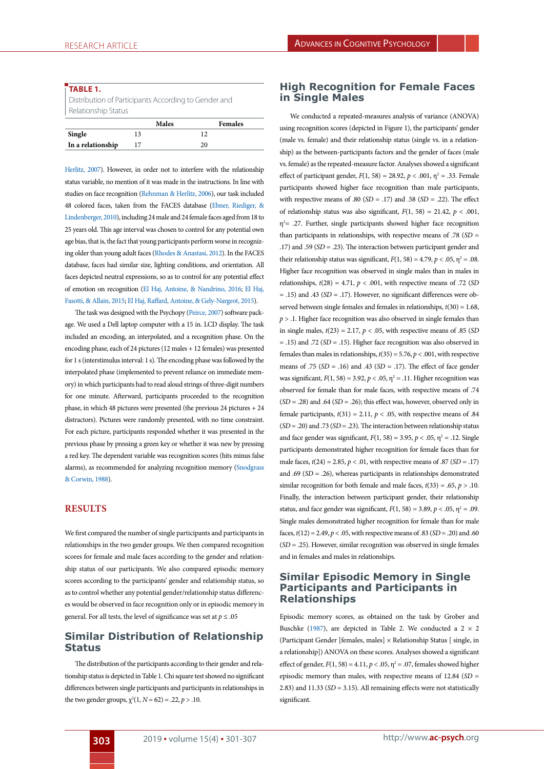#### **TABLE 1.**

Distribution of Participants According to Gender and Relationship Status

|                   | Males |     | <b>Females</b> |
|-------------------|-------|-----|----------------|
| Single            |       | 1 ^ |                |
| In a relationship |       | 20  |                |

[Herlitz, 2007](#page-7-7)). However, in order not to interfere with the relationship status variable, no mention of it was made in the instructions. In line with studies on face recognition ([Rehnman & Herlitz, 2006](#page-7-6)), our task included 48 colored faces, taken from the FACES database [\(Ebner, Riediger, &](#page-6-18) [Lindenberger, 2010\)](#page-6-18), including 24 male and 24 female faces aged from 18 to 25 years old. This age interval was chosen to control for any potential own age bias, that is, the fact that young participants perform worse in recognizing older than young adult faces [\(Rhodes & Anastasi, 2012](#page-7-16)). In the FACES database, faces had similar size, lighting conditions, and orientation. All faces depicted neutral expressions, so as to control for any potential effect of emotion on recognition ([El Haj, Antoine, & Nandrino, 2016;](#page-6-19) [El Haj,](#page-6-20) [Fasotti, & Allain, 2015](#page-6-20); [El Haj, Raffard, Antoine, & Gely-Nargeot, 2015](#page-6-21)).

The task was designed with the Psychopy ([Peirce, 2007\)](#page-7-17) software package. We used a Dell laptop computer with a 15 in. LCD display. The task included an encoding, an interpolated, and a recognition phase. On the encoding phase, each of 24 pictures (12 males + 12 females) was presented for 1 s (interstimulus interval: 1 s). The encoding phase was followed by the interpolated phase (implemented to prevent reliance on immediate memory) in which participants had to read aloud strings of three-digit numbers for one minute. Afterward, participants proceeded to the recognition phase, in which 48 pictures were presented (the previous 24 pictures + 24 distractors). Pictures were randomly presented, with no time constraint. For each picture, participants responded whether it was presented in the previous phase by pressing a green key or whether it was new by pressing a red key. The dependent variable was recognition scores (hits minus false alarms), as recommended for analyzing recognition memory ([Snodgrass](#page-7-18) [& Corwin, 1988](#page-7-18)).

## **RESULTS**

We first compared the number of single participants and participants in relationships in the two gender groups. We then compared recognition scores for female and male faces according to the gender and relationship status of our participants. We also compared episodic memory scores according to the participants' gender and relationship status, so as to control whether any potential gender/relationship status differences would be observed in face recognition only or in episodic memory in general. For all tests, the level of significance was set at  $p \leq .05$ 

## **Similar Distribution of Relationship Status**

The distribution of the participants according to their gender and relationship status is depicted in Table 1. Chi square test showed no significant differences between single participants and participants in relationships in the two gender groups,  $\chi^2(1, N = 62) = .22, p > .10$ .

## **High Recognition for Female Faces in Single Males**

We conducted a repeated-measures analysis of variance (ANOVA) using recognition scores (depicted in Figure 1), the participants' gender (male vs. female) and their relationship status (single vs. in a relationship) as the between-participants factors and the gender of faces (male vs. female) as the repeated-measure factor. Analyses showed a significant effect of participant gender,  $F(1, 58) = 28.92$ ,  $p < .001$ ,  $\eta^2 = .33$ . Female participants showed higher face recognition than male participants, with respective means of .80 ( $SD = .17$ ) and .58 ( $SD = .22$ ). The effect of relationship status was also significant,  $F(1, 58) = 21.42$ ,  $p < .001$ ,  $\eta^2$  = .27. Further, single participants showed higher face recognition than participants in relationships, with respective means of .78 (*SD* = .17) and .59 (*SD* = .23). The interaction between participant gender and their relationship status was significant,  $F(1, 58) = 4.79$ ,  $p < .05$ ,  $\eta^2 = .08$ . Higher face recognition was observed in single males than in males in relationships,  $t(28) = 4.71$ ,  $p < .001$ , with respective means of .72 (SD = .15) and .43 (*SD* = .17). However, no significant differences were observed between single females and females in relationships, *t*(30) = 1.68, *p* > .1. Higher face recognition was also observed in single females than in single males,  $t(23) = 2.17$ ,  $p < .05$ , with respective means of .85 (*SD*) = .15) and .72 (*SD* = .15). Higher face recognition was also observed in females than males in relationships, *t*(35) = 5.76, *p* < .001, with respective means of .75 (*SD* = .16) and .43 (*SD* = .17). The effect of face gender was significant,  $F(1, 58) = 3.92$ ,  $p < .05$ ,  $\eta^2 = .11$ . Higher recognition was observed for female than for male faces, with respective means of .74 (*SD* = .28) and .64 (*SD* = .26); this effect was, however, observed only in female participants,  $t(31) = 2.11$ ,  $p < .05$ , with respective means of .84 (*SD* = .20) and .73 (*SD* = .23). The interaction between relationship status and face gender was significant,  $F(1, 58) = 3.95$ ,  $p < .05$ ,  $\eta^2 = .12$ . Single participants demonstrated higher recognition for female faces than for male faces, *t*(24) = 2.85, *p* < .01, with respective means of .87 (*SD* = .17) and .69 (*SD* = .26), whereas participants in relationships demonstrated similar recognition for both female and male faces,  $t(33) = .65$ ,  $p > .10$ . Finally, the interaction between participant gender, their relationship status, and face gender was significant,  $F(1, 58) = 3.89$ ,  $p < .05$ ,  $\eta^2 = .09$ . Single males demonstrated higher recognition for female than for male faces, *t*(12) = 2.49, *p* < .05, with respective means of .83 (*SD* = .20) and .60 (*SD* = .25). However, similar recognition was observed in single females and in females and males in relationships.

## **Similar Episodic Memory in Single Participants and Participants in Relationships**

Episodic memory scores, as obtained on the task by Grober and Buschke (1987), are depicted in Table 2. We conducted a  $2 \times 2$ (Participant Gender [females, males] × Relationship Status [ single, in a relationship]) ANOVA on these scores. Analyses showed a significant effect of gender,  $F(1, 58) = 4.11$ ,  $p < .05$ ,  $\eta^2 = .07$ , females showed higher episodic memory than males, with respective means of 12.84 (*SD* = 2.83) and 11.33 (*SD* = 3.15). All remaining effects were not statistically significant.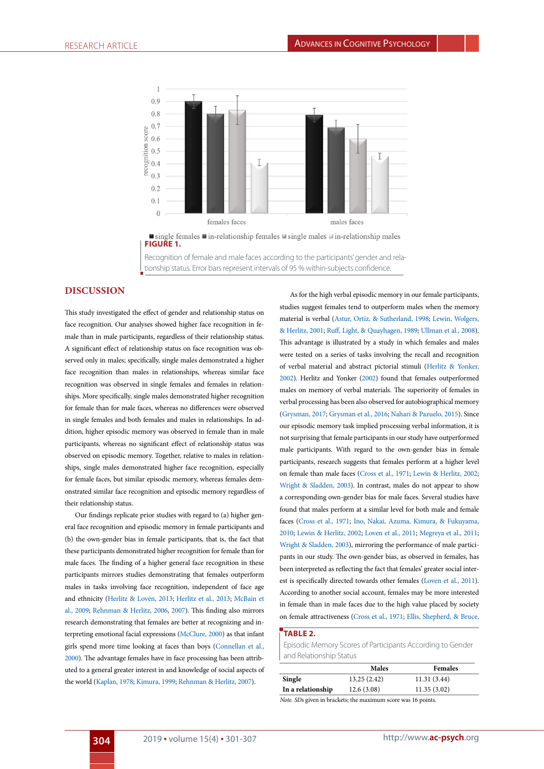

Recognition of female and male faces according to the participants' gender and rela-

tionship status. Error bars represent intervals of 95 % within-subjects confidence.

#### **DISCUSSION**

This study investigated the effect of gender and relationship status on face recognition. Our analyses showed higher face recognition in female than in male participants, regardless of their relationship status. A significant effect of relationship status on face recognition was observed only in males; specifically, single males demonstrated a higher face recognition than males in relationships, whereas similar face recognition was observed in single females and females in relationships. More specifically, single males demonstrated higher recognition for female than for male faces, whereas no differences were observed in single females and both females and males in relationships. In addition, higher episodic memory was observed in female than in male participants, whereas no significant effect of relationship status was observed on episodic memory. Together, relative to males in relationships, single males demonstrated higher face recognition, especially for female faces, but similar episodic memory, whereas females demonstrated similar face recognition and episodic memory regardless of their relationship status.

Our findings replicate prior studies with regard to (a) higher general face recognition and episodic memory in female participants and (b) the own-gender bias in female participants, that is, the fact that these participants demonstrated higher recognition for female than for male faces. The finding of a higher general face recognition in these participants mirrors studies demonstrating that females outperform males in tasks involving face recognition, independent of face age and ethnicity [\(Herlitz & Lovén, 2013;](#page-6-4) [Herlitz et al., 2013;](#page-6-5) [McBain et](#page-7-5) [al., 2009](#page-7-5); [Rehnman & Herlitz, 2006](#page-7-6), [2007\)](#page-7-7). This finding also mirrors research demonstrating that females are better at recognizing and interpreting emotional facial expressions ([McClure, 2000](#page-7-8)) as that infant girls spend more time looking at faces than boys [\(Connellan et al.,](#page-5-4) [2000\)](#page-5-4). The advantage females have in face processing has been attributed to a general greater interest in and knowledge of social aspects of the world [\(Kaplan, 1978;](#page-6-9) [Kimura, 1999;](#page-6-1) [Rehnman & Herlitz, 2007](#page-7-7)).

As for the high verbal episodic memory in our female participants, studies suggest females tend to outperform males when the memory material is verbal [\(Astur, Ortiz, & Sutherland, 1998](#page-5-7); [Lewin, Wolgers,](#page-6-22) [& Herlitz, 2001](#page-6-22); [Ruff, Light, & Quayhagen, 1989;](#page-7-19) [Ullman et al., 2008\)](#page-7-2). This advantage is illustrated by a study in which females and males were tested on a series of tasks involving the recall and recognition of verbal material and abstract pictorial stimuli [\(Herlitz & Yonker,](#page-6-23) [2002](#page-6-23)). Herlitz and Yonker [\(2002](#page-6-23)) found that females outperformed males on memory of verbal materials. The superiority of females in verbal processing has been also observed for autobiographical memory ([Grysman, 2017;](#page-6-2) [Grysman et al., 2016](#page-6-3); [Nahari & Pazuelo, 2015](#page-7-4)). Since our episodic memory task implied processing verbal information, it is not surprising that female participants in our study have outperformed male participants. With regard to the own-gender bias in female participants, research suggests that females perform at a higher level on female than male faces [\(Cross et al., 1971](#page-5-5); [Lewin & Herlitz, 2002;](#page-6-8) [Wright & Sladden, 2003\)](#page-7-10). In contrast, males do not appear to show a corresponding own-gender bias for male faces. Several studies have found that males perform at a similar level for both male and female faces ([Cross et al., 1971;](#page-5-5) [Ino, Nakai, Azuma, Kimura, & Fukuyama,](#page-6-24) [2010](#page-6-24); [Lewin & Herlitz, 2002](#page-6-8); [Loven et al., 2011](#page-6-10); [Megreya et al., 2011;](#page-7-9) [Wright & Sladden, 2003\)](#page-7-10), mirroring the performance of male participants in our study. The own-gender bias, as observed in females, has been interpreted as reflecting the fact that females' greater social interest is specifically directed towards other females ([Loven et al., 2011\)](#page-6-10). According to another social account, females may be more interested in female than in male faces due to the high value placed by society on female attractiveness [\(Cross et al., 1971](#page-5-5); [Ellis, Shepherd, & Bruce,](#page-6-25)

## **TABLE 2.**

Episodic Memory Scores of Participants According to Gender and Relationship Status

|                   | Males                                                                | <b>Females</b> |
|-------------------|----------------------------------------------------------------------|----------------|
| Single            | 13.25(2.42)                                                          | 11.31(3.44)    |
| In a relationship | 12.6(3.08)                                                           | 11.35(3.02)    |
|                   | <i>Note.</i> SDs given in brackets; the maximum score was 16 points. |                |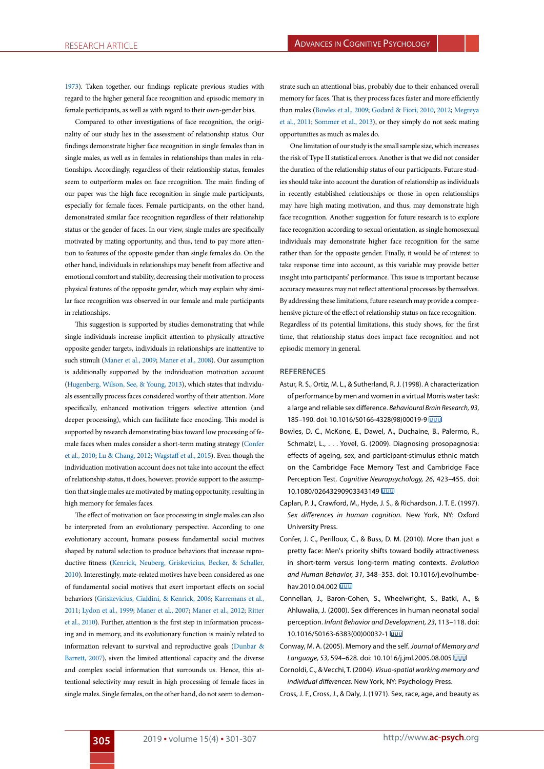[1973\)](#page-6-25). Taken together, our findings replicate previous studies with regard to the higher general face recognition and episodic memory in female participants, as well as with regard to their own-gender bias.

Compared to other investigations of face recognition, the originality of our study lies in the assessment of relationship status. Our findings demonstrate higher face recognition in single females than in single males, as well as in females in relationships than males in relationships. Accordingly, regardless of their relationship status, females seem to outperform males on face recognition. The main finding of our paper was the high face recognition in single male participants, especially for female faces. Female participants, on the other hand, demonstrated similar face recognition regardless of their relationship status or the gender of faces. In our view, single males are specifically motivated by mating opportunity, and thus, tend to pay more attention to features of the opposite gender than single females do. On the other hand, individuals in relationships may benefit from affective and emotional comfort and stability, decreasing their motivation to process physical features of the opposite gender, which may explain why similar face recognition was observed in our female and male participants in relationships.

This suggestion is supported by studies demonstrating that while single individuals increase implicit attention to physically attractive opposite gender targets, individuals in relationships are inattentive to such stimuli [\(Maner et al., 2009;](#page-6-13) [Maner et al., 2008](#page-7-14)). Our assumption is additionally supported by the individuation motivation account ([Hugenberg, Wilson, See, & Young, 2013](#page-6-26)), which states that individuals essentially process faces considered worthy of their attention. More specifically, enhanced motivation triggers selective attention (and deeper processing), which can facilitate face encoding. This model is supported by research demonstrating bias toward low processing of female faces when males consider a short-term mating strategy [\(Confer](#page-5-6) [et al., 2010](#page-5-6); [Lu & Chang, 2012](#page-6-15); [Wagstaff et al., 2015\)](#page-7-15). Even though the individuation motivation account does not take into account the effect of relationship status, it does, however, provide support to the assumption that single males are motivated by mating opportunity, resulting in high memory for females faces.

The effect of motivation on face processing in single males can also be interpreted from an evolutionary perspective. According to one evolutionary account, humans possess fundamental social motives shaped by natural selection to produce behaviors that increase reproductive fitness ([Kenrick, Neuberg, Griskevicius, Becker, & Schaller,](#page-6-27) [2010\)](#page-6-27). Interestingly, mate-related motives have been considered as one of fundamental social motives that exert important effects on social behaviors [\(Griskevicius, Cialdini, & Kenrick, 2006;](#page-6-28) [Karremans et al.,](#page-6-11) [2011;](#page-6-11) [Lydon et al., 1999;](#page-6-12) [Maner et al., 2007;](#page-6-14) [Maner et al., 2012](#page-7-13); [Ritter](#page-7-11) [et al., 2010](#page-7-11)). Further, attention is the first step in information processing and in memory, and its evolutionary function is mainly related to information relevant to survival and reproductive goals [\(Dunbar &](#page-6-29) [Barrett, 2007](#page-6-29)), siven the limited attentional capacity and the diverse and complex social information that surrounds us. Hence, this attentional selectivity may result in high processing of female faces in single males. Single females, on the other hand, do not seem to demonstrate such an attentional bias, probably due to their enhanced overall memory for faces. That is, they process faces faster and more efficiently than males [\(Bowles et al., 2009](#page-5-3); [Godard & Fiori, 2010,](#page-6-6) [2012](#page-6-7); [Megreya](#page-7-9) [et al., 2011](#page-7-9); [Sommer et al., 2013](#page-7-0)), or they simply do not seek mating opportunities as much as males do.

One limitation of our study is the small sample size, which increases the risk of Type II statistical errors. Another is that we did not consider the duration of the relationship status of our participants. Future studies should take into account the duration of relationship as individuals in recently established relationships or those in open relationships may have high mating motivation, and thus, may demonstrate high face recognition. Another suggestion for future research is to explore face recognition according to sexual orientation, as single homosexual individuals may demonstrate higher face recognition for the same rather than for the opposite gender. Finally, it would be of interest to take response time into account, as this variable may provide better insight into participants' performance. This issue is important because accuracy measures may not reflect attentional processes by themselves. By addressing these limitations, future research may provide a comprehensive picture of the effect of relationship status on face recognition. Regardless of its potential limitations, this study shows, for the first time, that relationship status does impact face recognition and not episodic memory in general.

#### **REFERENCES**

- <span id="page-5-7"></span>Astur, R. S., Ortiz, M. L., & Sutherland, R. J. (1998). A characterization of performance by men and women in a virtual Morris water task: a large and reliable sex difference. *Behavioural Brain Research, 93*, 185–190. doi: 10.1016/S0166-4328(98)00019-9
- <span id="page-5-3"></span>Bowles, D. C., McKone, E., Dawel, A., Duchaine, B., Palermo, R., Schmalzl, L., . . . Yovel, G. (2009). Diagnosing prosopagnosia: effects of ageing, sex, and participant-stimulus ethnic match on the Cambridge Face Memory Test and Cambridge Face Perception Test. *Cognitive Neuropsychology, 26*, 423–455. doi: 10.1080/02643290903343149
- <span id="page-5-0"></span>Caplan, P. J., Crawford, M., Hyde, J. S., & Richardson, J. T. E. (1997). *Sex differences in human cognition.* New York, NY: Oxford University Press.
- <span id="page-5-6"></span>Confer, J. C., Perilloux, C., & Buss, D. M. (2010). More than just a pretty face: Men's priority shifts toward bodily attractiveness in short-term versus long-term mating contexts. *Evolution and Human Behavior, 31*, 348–353. doi: 10.1016/j.evolhumbehav.2010.04.002
- <span id="page-5-4"></span>Connellan, J., Baron-Cohen, S., Wheelwright, S., Batki, A., & Ahluwalia, J. (2000). Sex differences in human neonatal social perception. *Infant Behavior and Development, 23*, 113–118. doi: 10.1016/S0163-6383(00)00032-1
- <span id="page-5-2"></span>Conway, M. A. (2005). Memory and the self. *Journal of Memory and Language, 53*, 594–628. doi: 10.1016/j.jml.2005.08.005
- <span id="page-5-1"></span>Cornoldi, C., & Vecchi, T. (2004). *Visuo-spatial working memory and individual differences.* New York, NY: Psychology Press.
- <span id="page-5-5"></span>Cross, J. F., Cross, J., & Daly, J. (1971). Sex, race, age, and beauty as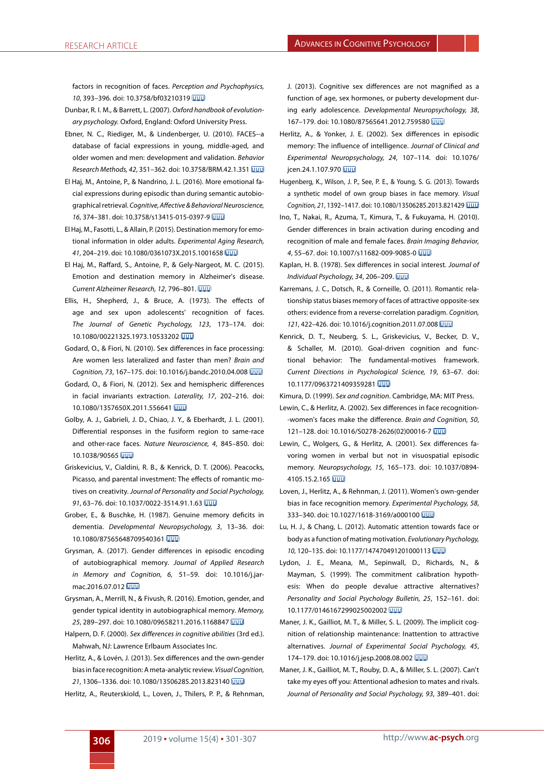factors in recognition of faces. *Perception and Psychophysics, 10*, 393–396. doi: 10.3758/bf03210319

- <span id="page-6-29"></span>Dunbar, R. I. M., & Barrett, L. (2007). *Oxford handbook of evolutionary psychology.* Oxford, England: Oxford University Press.
- <span id="page-6-18"></span>Ebner, N. C., Riediger, M., & Lindenberger, U. (2010). FACES--a database of facial expressions in young, middle-aged, and older women and men: development and validation. *Behavior Research Methods, 42*, 351–362. doi: 10.3758/BRM.42.1.351
- <span id="page-6-19"></span>El Haj, M., Antoine, P., & Nandrino, J. L. (2016). More emotional facial expressions during episodic than during semantic autobiographical retrieval. *Cognitive, Affective & Behavioral Neuroscience, 16*, 374–381. doi: 10.3758/s13415-015-0397-9
- <span id="page-6-20"></span>El Haj, M., Fasotti, L., & Allain, P. (2015). Destination memory for emotional information in older adults. *Experimental Aging Research, 41*, 204–219. doi: 10.1080/0361073X.2015.1001658
- <span id="page-6-21"></span>El Haj, M., Raffard, S., Antoine, P., & Gely-Nargeot, M. C. (2015). Emotion and destination memory in Alzheimer's disease. *Current Alzheimer Research, 12*, 796–801.
- <span id="page-6-25"></span>Ellis, H., Shepherd, J., & Bruce, A. (1973). The effects of age and sex upon adolescents' recognition of faces. *The Journal of Genetic Psychology, 123*, 173–174. doi: 10.1080/00221325.1973.10533202
- <span id="page-6-6"></span>Godard, O., & Fiori, N. (2010). Sex differences in face processing: Are women less lateralized and faster than men? *Brain and Cognition, 73*, 167–175. doi: 10.1016/j.bandc.2010.04.008
- <span id="page-6-7"></span>Godard, O., & Fiori, N. (2012). Sex and hemispheric differences in facial invariants extraction. *Laterality, 17*, 202–216. doi: 10.1080/1357650X.2011.556641
- <span id="page-6-17"></span>Golby, A. J., Gabrieli, J. D., Chiao, J. Y., & Eberhardt, J. L. (2001). Differential responses in the fusiform region to same-race and other-race faces. *Nature Neuroscience, 4*, 845–850. doi: 10.1038/90565
- <span id="page-6-28"></span>Griskevicius, V., Cialdini, R. B., & Kenrick, D. T. (2006). Peacocks, Picasso, and parental investment: The effects of romantic motives on creativity. *Journal of Personality and Social Psychology, 91*, 63–76. doi: 10.1037/0022-3514.91.1.63
- <span id="page-6-16"></span>Grober, E., & Buschke, H. (1987). Genuine memory deficits in dementia. *Developmental Neuropsychology, 3*, 13–36. doi: 10.1080/87565648709540361
- <span id="page-6-2"></span>Grysman, A. (2017). Gender differences in episodic encoding of autobiographical memory. *Journal of Applied Research in Memory and Cognition, 6,* 51–59. doi: 10.1016/j.jarmac.2016.07.012
- <span id="page-6-3"></span>Grysman, A., Merrill, N., & Fivush, R. (2016). Emotion, gender, and gender typical identity in autobiographical memory. *Memory, 25*, 289–297. doi: 10.1080/09658211.2016.1168847
- <span id="page-6-0"></span>Halpern, D. F. (2000). *Sex differences in cognitive abilities* (3rd ed.). Mahwah, NJ: Lawrence Erlbaum Associates Inc.
- <span id="page-6-4"></span>Herlitz, A., & Lovén, J. (2013). Sex differences and the own-gender bias in face recognition: A meta-analytic review. *Visual Cognition, 21*, 1306–1336. doi: 10.1080/13506285.2013.823140
- <span id="page-6-5"></span>Herlitz, A., Reuterskiold, L., Loven, J., Thilers, P. P., & Rehnman,

J. (2013). Cognitive sex differences are not magnified as a function of age, sex hormones, or puberty development during early adolescence. *Developmental Neuropsychology, 38*, 167–179. doi: 10.1080/87565641.2012.759580

- <span id="page-6-23"></span>Herlitz, A., & Yonker, J. E. (2002). Sex differences in episodic memory: The influence of intelligence. *Journal of Clinical and Experimental Neuropsychology, 24*, 107–114. doi: 10.1076/ icen.24.1.107.970
- <span id="page-6-26"></span>Hugenberg, K., Wilson, J. P., See, P. E., & Young, S. G. (2013). Towards a synthetic model of own group biases in face memory. *Visual Cognition, 21*, 1392–1417. doi: 10.1080/13506285.2013.821429
- <span id="page-6-24"></span>Ino, T., Nakai, R., Azuma, T., Kimura, T., & Fukuyama, H. (2010). Gender differences in brain activation during encoding and recognition of male and female faces. *Brain Imaging Behavior, 4*, 55–67. doi: 10.1007/s11682-009-9085-0
- <span id="page-6-9"></span>Kaplan, H. B. (1978). Sex differences in social interest. *Journal of Individual Psychology, 34*, 206–209.
- <span id="page-6-11"></span>Karremans, J. C., Dotsch, R., & Corneille, O. (2011). Romantic relationship status biases memory of faces of attractive opposite-sex others: evidence from a reverse-correlation paradigm. *Cognition, 121*, 422–426. doi: 10.1016/j.cognition.2011.07.008
- <span id="page-6-27"></span>Kenrick, D. T., Neuberg, S. L., Griskevicius, V., Becker, D. V., & Schaller, M. (2010). Goal-driven cognition and functional behavior: The fundamental-motives framework. *Current Directions in Psychological Science, 19*, 63–67. doi: 10.1177/0963721409359281

<span id="page-6-1"></span>Kimura, D. (1999). *Sex and cognition*. Cambridge, MA: MIT Press.

- <span id="page-6-8"></span>Lewin, C., & Herlitz, A. (2002). Sex differences in face recognition- -women's faces make the difference. *Brain and Cognition, 50*, 121–128. doi: 10.1016/S0278-2626(02)00016-7
- <span id="page-6-22"></span>Lewin, C., Wolgers, G., & Herlitz, A. (2001). Sex differences favoring women in verbal but not in visuospatial episodic memory. *Neuropsychology, 15*, 165–173. doi: 10.1037/0894- 4105.15.2.165
- <span id="page-6-10"></span>Loven, J., Herlitz, A., & Rehnman, J. (2011). Women's own-gender bias in face recognition memory. *Experimental Psychology, 58*, 333–340. doi: 10.1027/1618-3169/a000100
- <span id="page-6-15"></span>Lu, H. J., & Chang, L. (2012). Automatic attention towards face or body as a function of mating motivation. *Evolutionary Psychology, 10,* 120–135. doi: 10.1177/147470491201000113
- <span id="page-6-12"></span>Lydon, J. E., Meana, M., Sepinwall, D., Richards, N., & Mayman, S. (1999). The commitment calibration hypothesis: When do people devalue attractive alternatives? *Personality and Social Psychology Bulletin, 25*, 152–161. doi: 10.1177/0146167299025002002
- <span id="page-6-13"></span>Maner, J. K., Gailliot, M. T., & Miller, S. L. (2009). The implicit cognition of relationship maintenance: Inattention to attractive alternatives. *Journal of Experimental Social Psychology, 45*, 174–179. doi: 10.1016/j.jesp.2008.08.002
- <span id="page-6-14"></span>Maner, J. K., Gailliot, M. T., Rouby, D. A., & Miller, S. L. (2007). Can't take my eyes off you: Attentional adhesion to mates and rivals. *Journal of Personality and Social Psychology, 93*, 389–401. doi: